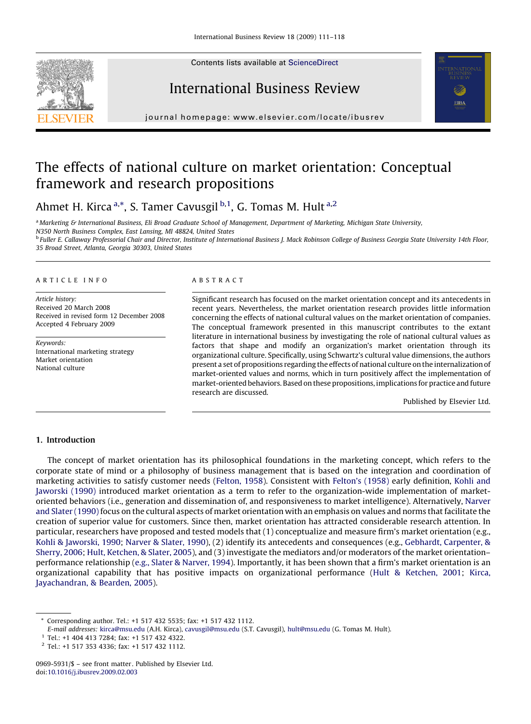Contents lists available at [ScienceDirect](http://www.sciencedirect.com/science/journal/09695931)







journal homepage: www.elsevier.com/locate/ibusrev

# The effects of national culture on market orientation: Conceptual framework and research propositions

Ahmet H. Kirca <sup>a,\*</sup>, S. Tamer Cavusgil <sup>b,1</sup>, G. Tomas M. Hult <sup>a,2</sup>

a Marketing & International Business. Eli Broad Graduate School of Management, Department of Marketing, Michigan State University, N350 North Business Complex, East Lansing, MI 48824, United States

<sup>b</sup> Fuller E. Callaway Professorial Chair and Director, Institute of International Business J. Mack Robinson College of Business Georgia State University 14th Floor, 35 Broad Street, Atlanta, Georgia 30303, United States

#### ARTICLE INFO

Article history: Received 20 March 2008 Received in revised form 12 December 2008 Accepted 4 February 2009

Keywords: International marketing strategy Market orientation National culture

#### ABSTRACT

Significant research has focused on the market orientation concept and its antecedents in recent years. Nevertheless, the market orientation research provides little information concerning the effects of national cultural values on the market orientation of companies. The conceptual framework presented in this manuscript contributes to the extant literature in international business by investigating the role of national cultural values as factors that shape and modify an organization's market orientation through its organizational culture. Specifically, using Schwartz's cultural value dimensions, the authors present a set of propositions regarding the effects of national culture on the internalization of market-oriented values and norms, which in turn positively affect the implementation of market-oriented behaviors. Based on these propositions, implications for practice and future research are discussed.

Published by Elsevier Ltd.

## 1. Introduction

The concept of market orientation has its philosophical foundations in the marketing concept, which refers to the corporate state of mind or a philosophy of business management that is based on the integration and coordination of marketing activities to satisfy customer needs ([Felton, 1958\)](#page--1-0). Consistent with [Felton's \(1958\)](#page--1-0) early definition, [Kohli and](#page--1-0) [Jaworski \(1990\)](#page--1-0) introduced market orientation as a term to refer to the organization-wide implementation of marketoriented behaviors (i.e., generation and dissemination of, and responsiveness to market intelligence). Alternatively, [Narver](#page--1-0) [and Slater \(1990\)](#page--1-0) focus on the cultural aspects of market orientation with an emphasis on values and norms that facilitate the creation of superior value for customers. Since then, market orientation has attracted considerable research attention. In particular, researchers have proposed and tested models that (1) conceptualize and measure firm's market orientation (e.g., [Kohli & Jaworski, 1990;](#page--1-0) [Narver & Slater, 1990\)](#page--1-0), (2) identify its antecedents and consequences (e.g., [Gebhardt, Carpenter, &](#page--1-0) [Sherry, 2006;](#page--1-0) [Hult, Ketchen, & Slater, 2005\)](#page--1-0), and (3) investigate the mediators and/or moderators of the market orientation– performance relationship ([e.g., Slater & Narver, 1994](#page--1-0)). Importantly, it has been shown that a firm's market orientation is an organizational capability that has positive impacts on organizational performance ([Hult & Ketchen, 2001](#page--1-0); [Kirca,](#page--1-0) [Jayachandran, & Bearden, 2005\)](#page--1-0).

<sup>\*</sup> Corresponding author. Tel.: +1 517 432 5535; fax: +1 517 432 1112.

E-mail addresses: [kirca@msu.edu](mailto:kirca@msu.edu) (A.H. Kirca), [cavusgil@msu.edu](mailto:cavusgil@msu.edu) (S.T. Cavusgil), [hult@msu.edu](mailto:hult@msu.edu) (G. Tomas M. Hult).

<sup>1</sup> Tel.: +1 404 413 7284; fax: +1 517 432 4322.

<sup>2</sup> Tel.: +1 517 353 4336; fax: +1 517 432 1112.

<sup>0969-5931/\$ –</sup> see front matter. Published by Elsevier Ltd. doi:[10.1016/j.ibusrev.2009.02.003](http://dx.doi.org/10.1016/j.ibusrev.2009.02.003)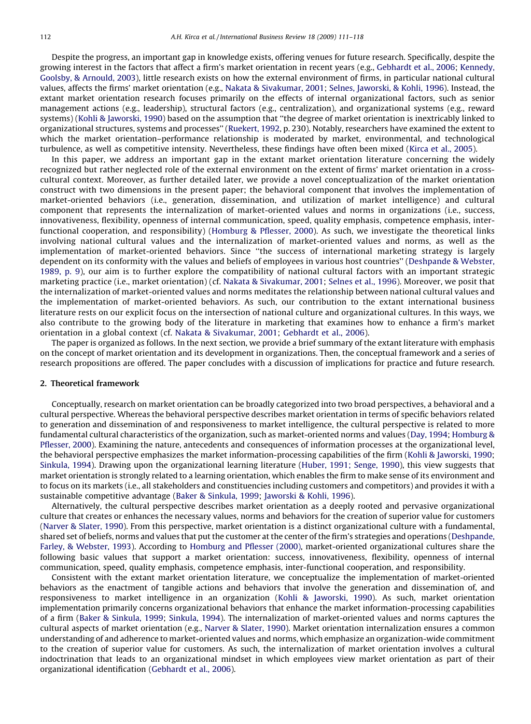Despite the progress, an important gap in knowledge exists, offering venues for future research. Specifically, despite the growing interest in the factors that affect a firm's market orientation in recent years (e.g., [Gebhardt et al., 2006;](#page--1-0) [Kennedy,](#page--1-0) [Goolsby, & Arnould, 2003](#page--1-0)), little research exists on how the external environment of firms, in particular national cultural values, affects the firms' market orientation (e.g., [Nakata & Sivakumar, 2001;](#page--1-0) [Selnes, Jaworski, & Kohli, 1996](#page--1-0)). Instead, the extant market orientation research focuses primarily on the effects of internal organizational factors, such as senior management actions (e.g., leadership), structural factors (e.g., centralization), and organizational systems (e.g., reward systems) [\(Kohli & Jaworski, 1990\)](#page--1-0) based on the assumption that ''the degree of market orientation is inextricably linked to organizational structures, systems and processes'' [\(Ruekert, 1992,](#page--1-0) p. 230). Notably, researchers have examined the extent to which the market orientation–performance relationship is moderated by market, environmental, and technological turbulence, as well as competitive intensity. Nevertheless, these findings have often been mixed ([Kirca et al., 2005\)](#page--1-0).

In this paper, we address an important gap in the extant market orientation literature concerning the widely recognized but rather neglected role of the external environment on the extent of firms' market orientation in a crosscultural context. Moreover, as further detailed later, we provide a novel conceptualization of the market orientation construct with two dimensions in the present paper; the behavioral component that involves the implementation of market-oriented behaviors (i.e., generation, dissemination, and utilization of market intelligence) and cultural component that represents the internalization of market-oriented values and norms in organizations (i.e., success, innovativeness, flexibility, openness of internal communication, speed, quality emphasis, competence emphasis, interfunctional cooperation, and responsibility) [\(Homburg & Pflesser, 2000](#page--1-0)). As such, we investigate the theoretical links involving national cultural values and the internalization of market-oriented values and norms, as well as the implementation of market-oriented behaviors. Since ''the success of international marketing strategy is largely dependent on its conformity with the values and beliefs of employees in various host countries'' [\(Deshpande & Webster,](#page--1-0) [1989, p. 9](#page--1-0)), our aim is to further explore the compatibility of national cultural factors with an important strategic marketing practice (i.e., market orientation) (cf. [Nakata & Sivakumar, 2001;](#page--1-0) [Selnes et al., 1996\)](#page--1-0). Moreover, we posit that the internalization of market-oriented values and norms meditates the relationship between national cultural values and the implementation of market-oriented behaviors. As such, our contribution to the extant international business literature rests on our explicit focus on the intersection of national culture and organizational cultures. In this ways, we also contribute to the growing body of the literature in marketing that examines how to enhance a firm's market orientation in a global context (cf. [Nakata & Sivakumar, 2001;](#page--1-0) [Gebhardt et al., 2006\)](#page--1-0).

The paper is organized as follows. In the next section, we provide a brief summary of the extant literature with emphasis on the concept of market orientation and its development in organizations. Then, the conceptual framework and a series of research propositions are offered. The paper concludes with a discussion of implications for practice and future research.

### 2. Theoretical framework

Conceptually, research on market orientation can be broadly categorized into two broad perspectives, a behavioral and a cultural perspective. Whereas the behavioral perspective describes market orientation in terms of specific behaviors related to generation and dissemination of and responsiveness to market intelligence, the cultural perspective is related to more fundamental cultural characteristics of the organization, such as market-oriented norms and values ([Day, 1994;](#page--1-0) [Homburg &](#page--1-0) [Pflesser, 2000\)](#page--1-0). Examining the nature, antecedents and consequences of information processes at the organizational level, the behavioral perspective emphasizes the market information-processing capabilities of the firm [\(Kohli & Jaworski, 1990](#page--1-0); [Sinkula, 1994\)](#page--1-0). Drawing upon the organizational learning literature [\(Huber, 1991; Senge, 1990\)](#page--1-0), this view suggests that market orientation is strongly related to a learning orientation, which enables the firm to make sense of its environment and to focus on its markets (i.e., all stakeholders and constituencies including customers and competitors) and provides it with a sustainable competitive advantage ([Baker & Sinkula, 1999;](#page--1-0) [Jaworski & Kohli, 1996](#page--1-0)).

Alternatively, the cultural perspective describes market orientation as a deeply rooted and pervasive organizational culture that creates or enhances the necessary values, norms and behaviors for the creation of superior value for customers [\(Narver & Slater, 1990](#page--1-0)). From this perspective, market orientation is a distinct organizational culture with a fundamental, shared set of beliefs, norms and values that put the customer at the center of the firm's strategies and operations [\(Deshpande,](#page--1-0) [Farley, & Webster, 1993\)](#page--1-0). According to [Homburg and Pflesser \(2000\),](#page--1-0) market-oriented organizational cultures share the following basic values that support a market orientation: success, innovativeness, flexibility, openness of internal communication, speed, quality emphasis, competence emphasis, inter-functional cooperation, and responsibility.

Consistent with the extant market orientation literature, we conceptualize the implementation of market-oriented behaviors as the enactment of tangible actions and behaviors that involve the generation and dissemination of, and responsiveness to market intelligence in an organization [\(Kohli & Jaworski, 1990\)](#page--1-0). As such, market orientation implementation primarily concerns organizational behaviors that enhance the market information-processing capabilities of a firm [\(Baker & Sinkula, 1999](#page--1-0); [Sinkula, 1994\)](#page--1-0). The internalization of market-oriented values and norms captures the cultural aspects of market orientation (e.g., [Narver & Slater, 1990\)](#page--1-0). Market orientation internalization ensures a common understanding of and adherence to market-oriented values and norms, which emphasize an organization-wide commitment to the creation of superior value for customers. As such, the internalization of market orientation involves a cultural indoctrination that leads to an organizational mindset in which employees view market orientation as part of their organizational identification ([Gebhardt et al., 2006\)](#page--1-0).